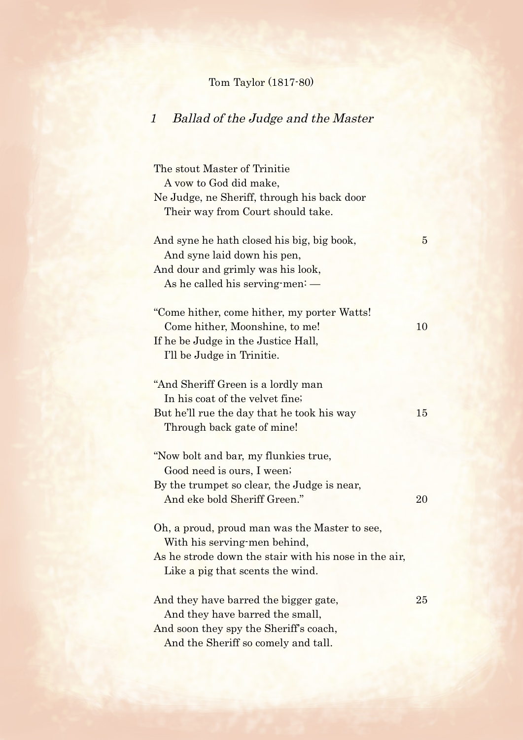## Tom Taylor (1817-80)

## 1 Ballad of the Judge and the Master

The stout Master of Trinitie A vow to God did make, Ne Judge, ne Sheriff, through his back door Their way from Court should take. And syne he hath closed his big, big book, 5 And syne laid down his pen, And dour and grimly was his look, As he called his serving-men: — "Come hither, come hither, my porter Watts! Come hither, Moonshine, to me! 10 If he be Judge in the Justice Hall, I'll be Judge in Trinitie. "And Sheriff Green is a lordly man In his coat of the velvet fine; But he'll rue the day that he took his way 15 Through back gate of mine! "Now bolt and bar, my flunkies true, Good need is ours, I ween; By the trumpet so clear, the Judge is near, And eke bold Sheriff Green." 20 Oh, a proud, proud man was the Master to see, With his serving-men behind, As he strode down the stair with his nose in the air, Like a pig that scents the wind. And they have barred the bigger gate, 25 And they have barred the small, And soon they spy the Sheriff's coach,

And the Sheriff so comely and tall.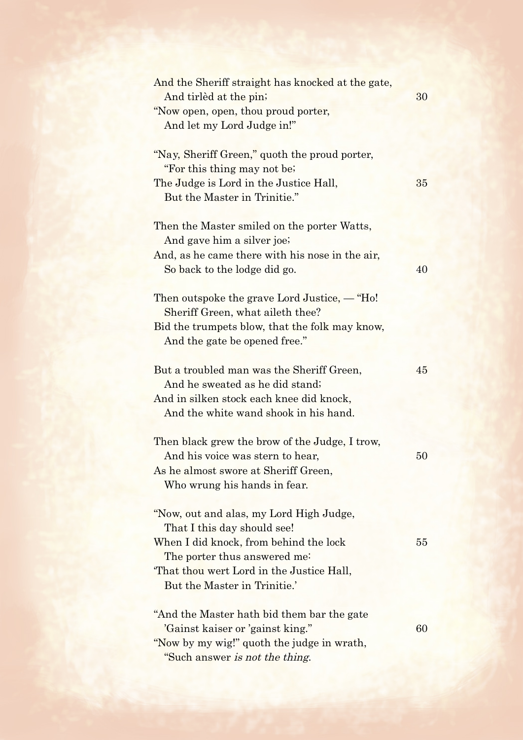| And the Sheriff straight has knocked at the gate,                                                                                     | 30 |
|---------------------------------------------------------------------------------------------------------------------------------------|----|
| And tirlèd at the pin;<br>"Now open, open, thou proud porter,<br>And let my Lord Judge in!"                                           |    |
| "Nay, Sheriff Green," quoth the proud porter,<br>"For this thing may not be?"                                                         |    |
| The Judge is Lord in the Justice Hall,<br>But the Master in Trinitie."                                                                | 35 |
| Then the Master smiled on the porter Watts,<br>And gave him a silver joe;                                                             |    |
| And, as he came there with his nose in the air,<br>So back to the lodge did go.                                                       | 40 |
| Then outspoke the grave Lord Justice, $-$ "Ho!"<br>Sheriff Green, what aileth thee?<br>Bid the trumpets blow, that the folk may know, |    |
| And the gate be opened free."<br>But a troubled man was the Sheriff Green,                                                            | 45 |
| And he sweated as he did stand;<br>And in silken stock each knee did knock,<br>And the white wand shook in his hand.                  |    |
| Then black grew the brow of the Judge, I trow,<br>And his voice was stern to hear,<br>As he almost swore at Sheriff Green,            | 50 |
| Who wrung his hands in fear.<br>"Now, out and alas, my Lord High Judge,                                                               |    |
| That I this day should see!                                                                                                           |    |
| When I did knock, from behind the lock<br>The porter thus answered me:                                                                | 55 |
| That thou wert Lord in the Justice Hall,<br>But the Master in Trinitie.'                                                              |    |
| "And the Master hath bid them bar the gate<br>'Gainst kaiser or 'gainst king."                                                        | 60 |
| "Now by my wig!" quoth the judge in wrath,                                                                                            |    |
| "Such answer is not the thing.                                                                                                        |    |